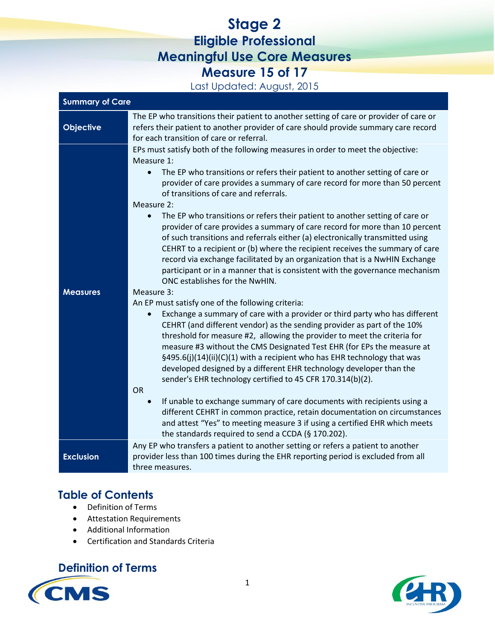# **Stage 2 Eligible Professional Meaningful Use Core Measures Measure 15 of 17**

Last Updated: August, 2015

| <b>Summary of Care</b> |                                                                                                                                                                                                                                                                                                                                                                                                                                                                                                                                                                                                                                                                                                                                                                                                                                                                                                                                                                                                                                                                                                                                                                                                                                                                                                                                                                                                                                                                                                                                                                                                                                                                                                                                                                                                         |  |
|------------------------|---------------------------------------------------------------------------------------------------------------------------------------------------------------------------------------------------------------------------------------------------------------------------------------------------------------------------------------------------------------------------------------------------------------------------------------------------------------------------------------------------------------------------------------------------------------------------------------------------------------------------------------------------------------------------------------------------------------------------------------------------------------------------------------------------------------------------------------------------------------------------------------------------------------------------------------------------------------------------------------------------------------------------------------------------------------------------------------------------------------------------------------------------------------------------------------------------------------------------------------------------------------------------------------------------------------------------------------------------------------------------------------------------------------------------------------------------------------------------------------------------------------------------------------------------------------------------------------------------------------------------------------------------------------------------------------------------------------------------------------------------------------------------------------------------------|--|
| <b>Objective</b>       | The EP who transitions their patient to another setting of care or provider of care or<br>refers their patient to another provider of care should provide summary care record<br>for each transition of care or referral.                                                                                                                                                                                                                                                                                                                                                                                                                                                                                                                                                                                                                                                                                                                                                                                                                                                                                                                                                                                                                                                                                                                                                                                                                                                                                                                                                                                                                                                                                                                                                                               |  |
| <b>Measures</b>        | EPs must satisfy both of the following measures in order to meet the objective:<br>Measure 1:<br>The EP who transitions or refers their patient to another setting of care or<br>$\bullet$<br>provider of care provides a summary of care record for more than 50 percent<br>of transitions of care and referrals.<br>Measure 2:<br>The EP who transitions or refers their patient to another setting of care or<br>$\bullet$<br>provider of care provides a summary of care record for more than 10 percent<br>of such transitions and referrals either (a) electronically transmitted using<br>CEHRT to a recipient or (b) where the recipient receives the summary of care<br>record via exchange facilitated by an organization that is a NwHIN Exchange<br>participant or in a manner that is consistent with the governance mechanism<br>ONC establishes for the NwHIN.<br>Measure 3:<br>An EP must satisfy one of the following criteria:<br>Exchange a summary of care with a provider or third party who has different<br>CEHRT (and different vendor) as the sending provider as part of the 10%<br>threshold for measure #2, allowing the provider to meet the criteria for<br>measure #3 without the CMS Designated Test EHR (for EPs the measure at<br>§495.6(j)(14)(ii)(C)(1) with a recipient who has EHR technology that was<br>developed designed by a different EHR technology developer than the<br>sender's EHR technology certified to 45 CFR 170.314(b)(2).<br><b>OR</b><br>If unable to exchange summary of care documents with recipients using a<br>$\bullet$<br>different CEHRT in common practice, retain documentation on circumstances<br>and attest "Yes" to meeting measure 3 if using a certified EHR which meets<br>the standards required to send a CCDA (§ 170.202). |  |
| <b>Exclusion</b>       | Any EP who transfers a patient to another setting or refers a patient to another<br>provider less than 100 times during the EHR reporting period is excluded from all<br>three measures.                                                                                                                                                                                                                                                                                                                                                                                                                                                                                                                                                                                                                                                                                                                                                                                                                                                                                                                                                                                                                                                                                                                                                                                                                                                                                                                                                                                                                                                                                                                                                                                                                |  |

### **Table of Contents**

- Definition of Terms
- Attestation Requirements
- Additional Information
- Certification and Standards Criteria

## **Definition of Terms**



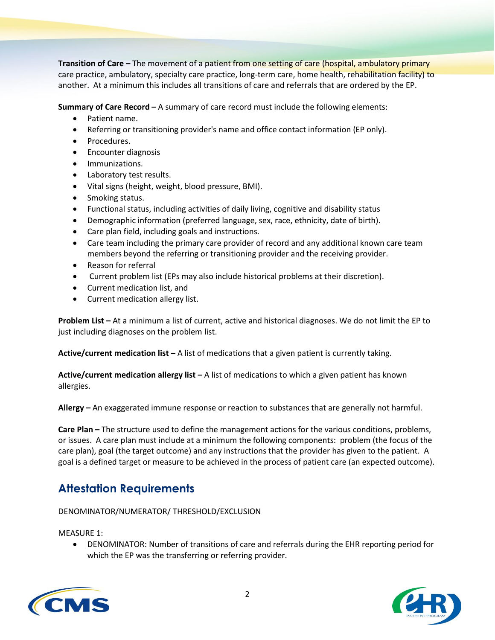**Transition of Care –** The movement of a patient from one setting of care (hospital, ambulatory primary care practice, ambulatory, specialty care practice, long-term care, home health, rehabilitation facility) to another. At a minimum this includes all transitions of care and referrals that are ordered by the EP.

**Summary of Care Record –** A summary of care record must include the following elements:

- Patient name.
- Referring or transitioning provider's name and office contact information (EP only).
- Procedures.
- **•** Encounter diagnosis
- **•** Immunizations.
- Laboratory test results.
- Vital signs (height, weight, blood pressure, BMI).
- Smoking status.
- Functional status, including activities of daily living, cognitive and disability status
- Demographic information (preferred language, sex, race, ethnicity, date of birth).
- Care plan field, including goals and instructions.
- Care team including the primary care provider of record and any additional known care team members beyond the referring or transitioning provider and the receiving provider.
- Reason for referral
- Current problem list (EPs may also include historical problems at their discretion).
- Current medication list, and
- Current medication allergy list.

**Problem List –** At a minimum a list of current, active and historical diagnoses. We do not limit the EP to just including diagnoses on the problem list.

**Active/current medication list –** A list of medications that a given patient is currently taking.

**Active/current medication allergy list –** A list of medications to which a given patient has known allergies.

**Allergy –** An exaggerated immune response or reaction to substances that are generally not harmful.

**Care Plan –** The structure used to define the management actions for the various conditions, problems, or issues. A care plan must include at a minimum the following components: problem (the focus of the care plan), goal (the target outcome) and any instructions that the provider has given to the patient. A goal is a defined target or measure to be achieved in the process of patient care (an expected outcome).

### **Attestation Requirements**

DENOMINATOR/NUMERATOR/ THRESHOLD/EXCLUSION

MEASURE 1:

 DENOMINATOR: Number of transitions of care and referrals during the EHR reporting period for which the EP was the transferring or referring provider.



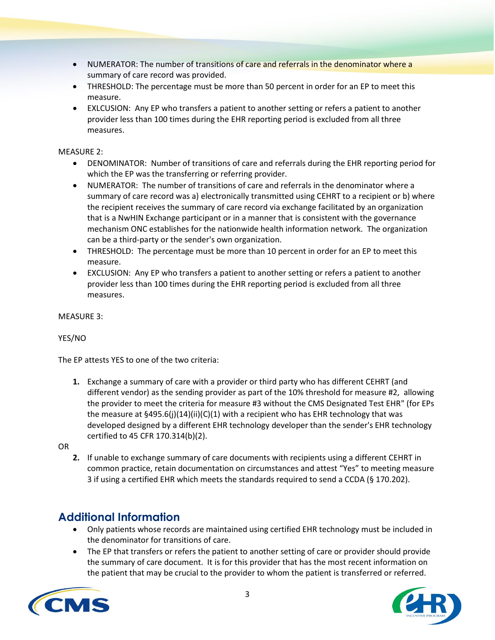- NUMERATOR: The number of transitions of care and referrals in the denominator where a summary of care record was provided.
- THRESHOLD: The percentage must be more than 50 percent in order for an EP to meet this measure.
- EXLCUSION: Any EP who transfers a patient to another setting or refers a patient to another provider less than 100 times during the EHR reporting period is excluded from all three measures.

#### MEASURE 2:

- DENOMINATOR: Number of transitions of care and referrals during the EHR reporting period for which the EP was the transferring or referring provider.
- NUMERATOR: The number of transitions of care and referrals in the denominator where a summary of care record was a) electronically transmitted using CEHRT to a recipient or b) where the recipient receives the summary of care record via exchange facilitated by an organization that is a NwHIN Exchange participant or in a manner that is consistent with the governance mechanism ONC establishes for the nationwide health information network. The organization can be a third-party or the sender's own organization.
- THRESHOLD: The percentage must be more than 10 percent in order for an EP to meet this measure.
- EXCLUSION: Any EP who transfers a patient to another setting or refers a patient to another provider less than 100 times during the EHR reporting period is excluded from all three measures.

MEASURE 3:

#### YES/NO

The EP attests YES to one of the two criteria:

**1.** Exchange a summary of care with a provider or third party who has different CEHRT (and different vendor) as the sending provider as part of the 10% threshold for measure #2, allowing the provider to meet the criteria for measure #3 without the CMS Designated Test EHR" (for EPs the measure at  $\S 495.6(j)(14)(ii)(C)(1)$  with a recipient who has EHR technology that was developed designed by a different EHR technology developer than the sender's EHR technology certified to 45 CFR 170.314(b)(2).

OR

**2.** If unable to exchange summary of care documents with recipients using a different CEHRT in common practice, retain documentation on circumstances and attest "Yes" to meeting measure 3 if using a certified EHR which meets the standards required to send a CCDA (§ 170.202).

### **Additional Information**

- Only patients whose records are maintained using certified EHR technology must be included in the denominator for transitions of care.
- The EP that transfers or refers the patient to another setting of care or provider should provide the summary of care document. It is for this provider that has the most recent information on the patient that may be crucial to the provider to whom the patient is transferred or referred.



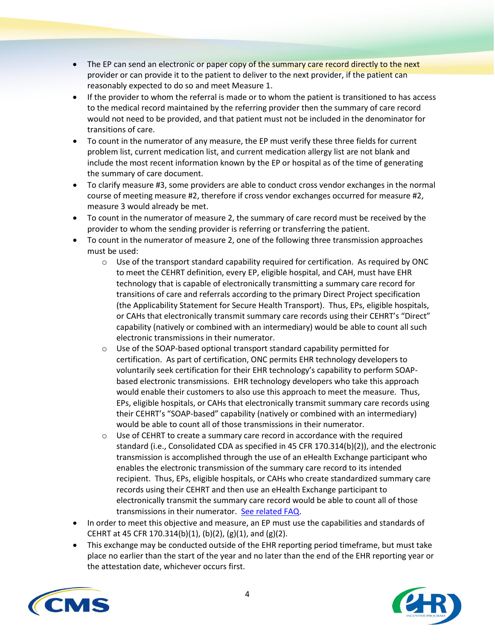- The EP can send an electronic or paper copy of the summary care record directly to the next provider or can provide it to the patient to deliver to the next provider, if the patient can reasonably expected to do so and meet Measure 1.
- If the provider to whom the referral is made or to whom the patient is transitioned to has access to the medical record maintained by the referring provider then the summary of care record would not need to be provided, and that patient must not be included in the denominator for transitions of care.
- To count in the numerator of any measure, the EP must verify these three fields for current problem list, current medication list, and current medication allergy list are not blank and include the most recent information known by the EP or hospital as of the time of generating the summary of care document.
- To clarify measure #3, some providers are able to conduct cross vendor exchanges in the normal course of meeting measure #2, therefore if cross vendor exchanges occurred for measure #2, measure 3 would already be met.
- To count in the numerator of measure 2, the summary of care record must be received by the provider to whom the sending provider is referring or transferring the patient.
- To count in the numerator of measure 2, one of the following three transmission approaches must be used:
	- $\circ$  Use of the transport standard capability required for certification. As required by ONC to meet the CEHRT definition, every EP, eligible hospital, and CAH, must have EHR technology that is capable of electronically transmitting a summary care record for transitions of care and referrals according to the primary Direct Project specification (the Applicability Statement for Secure Health Transport). Thus, EPs, eligible hospitals, or CAHs that electronically transmit summary care records using their CEHRT's "Direct" capability (natively or combined with an intermediary) would be able to count all such electronic transmissions in their numerator.
	- o Use of the SOAP-based optional transport standard capability permitted for certification. As part of certification, ONC permits EHR technology developers to voluntarily seek certification for their EHR technology's capability to perform SOAPbased electronic transmissions. EHR technology developers who take this approach would enable their customers to also use this approach to meet the measure. Thus, EPs, eligible hospitals, or CAHs that electronically transmit summary care records using their CEHRT's "SOAP-based" capability (natively or combined with an intermediary) would be able to count all of those transmissions in their numerator.
	- $\circ$  Use of CEHRT to create a summary care record in accordance with the required standard (i.e., Consolidated CDA as specified in 45 CFR 170.314(b)(2)), and the electronic transmission is accomplished through the use of an eHealth Exchange participant who enables the electronic transmission of the summary care record to its intended recipient. Thus, EPs, eligible hospitals, or CAHs who create standardized summary care records using their CEHRT and then use an eHealth Exchange participant to electronically transmit the summary care record would be able to count all of those transmissions in their numerator. [See related FAQ.](https://questions.cms.gov/faq.php?faqId=7697)
- In order to meet this objective and measure, an EP must use the capabilities and standards of CEHRT at 45 CFR 170.314(b)(1), (b)(2), (g)(1), and (g)(2).
- This exchange may be conducted outside of the EHR reporting period timeframe, but must take place no earlier than the start of the year and no later than the end of the EHR reporting year or the attestation date, whichever occurs first.



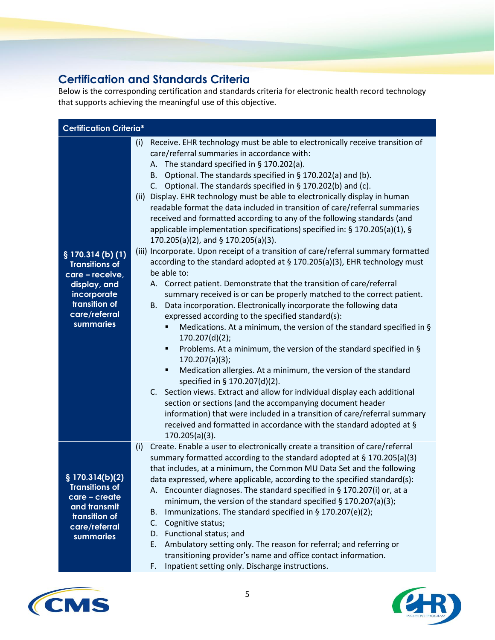## **Certification and Standards Criteria**

Below is the corresponding certification and standards criteria for electronic health record technology that supports achieving the meaningful use of this objective.

| <b>Certification Criteria*</b>                                                                                                                          |                                                                                                                                                                                                                                                                                                                                                                                                                                                                                                                                                                                                                                                                                                                                                                                                                                                                                                                                                                                                                                                                                                                                                                                                                                                                                                                                                                                                                                                                                                                                                                                                                                                                                                                                                                                   |
|---------------------------------------------------------------------------------------------------------------------------------------------------------|-----------------------------------------------------------------------------------------------------------------------------------------------------------------------------------------------------------------------------------------------------------------------------------------------------------------------------------------------------------------------------------------------------------------------------------------------------------------------------------------------------------------------------------------------------------------------------------------------------------------------------------------------------------------------------------------------------------------------------------------------------------------------------------------------------------------------------------------------------------------------------------------------------------------------------------------------------------------------------------------------------------------------------------------------------------------------------------------------------------------------------------------------------------------------------------------------------------------------------------------------------------------------------------------------------------------------------------------------------------------------------------------------------------------------------------------------------------------------------------------------------------------------------------------------------------------------------------------------------------------------------------------------------------------------------------------------------------------------------------------------------------------------------------|
| $\frac{1}{2}$ 170.314 (b) (1)<br><b>Transitions of</b><br>care - receive,<br>display, and<br>incorporate<br>transition of<br>care/referral<br>summaries | Receive. EHR technology must be able to electronically receive transition of<br>(i)<br>care/referral summaries in accordance with:<br>A. The standard specified in $\S$ 170.202(a).<br>B. Optional. The standards specified in § 170.202(a) and (b).<br>C. Optional. The standards specified in $\S$ 170.202(b) and (c).<br>Display. EHR technology must be able to electronically display in human<br>(ii)<br>readable format the data included in transition of care/referral summaries<br>received and formatted according to any of the following standards (and<br>applicable implementation specifications) specified in: § 170.205(a)(1), §<br>170.205(a)(2), and § 170.205(a)(3).<br>(iii) Incorporate. Upon receipt of a transition of care/referral summary formatted<br>according to the standard adopted at § 170.205(a)(3), EHR technology must<br>be able to:<br>A. Correct patient. Demonstrate that the transition of care/referral<br>summary received is or can be properly matched to the correct patient.<br>Data incorporation. Electronically incorporate the following data<br>В.<br>expressed according to the specified standard(s):<br>Medications. At a minimum, the version of the standard specified in §<br>170.207(d)(2);<br>Problems. At a minimum, the version of the standard specified in §<br>٠<br>170.207(a)(3);<br>Medication allergies. At a minimum, the version of the standard<br>٠<br>specified in § 170.207(d)(2).<br>C. Section views. Extract and allow for individual display each additional<br>section or sections (and the accompanying document header<br>information) that were included in a transition of care/referral summary<br>received and formatted in accordance with the standard adopted at §<br>$170.205(a)(3)$ . |
| $\sqrt{2}$ 170.314(b)(2)<br><b>Transitions of</b><br>care - create<br>and transmit<br>transition of<br>care/referral<br>summaries                       | Create. Enable a user to electronically create a transition of care/referral<br>(i)<br>summary formatted according to the standard adopted at § 170.205(a)(3)<br>that includes, at a minimum, the Common MU Data Set and the following<br>data expressed, where applicable, according to the specified standard(s):<br>A. Encounter diagnoses. The standard specified in § 170.207(i) or, at a<br>minimum, the version of the standard specified $\S$ 170.207(a)(3);<br>Immunizations. The standard specified in § 170.207(e)(2);<br>В.<br>Cognitive status;<br>C.<br>Functional status; and<br>D.<br>E.<br>Ambulatory setting only. The reason for referral; and referring or<br>transitioning provider's name and office contact information.<br>Inpatient setting only. Discharge instructions.<br>F.                                                                                                                                                                                                                                                                                                                                                                                                                                                                                                                                                                                                                                                                                                                                                                                                                                                                                                                                                                          |



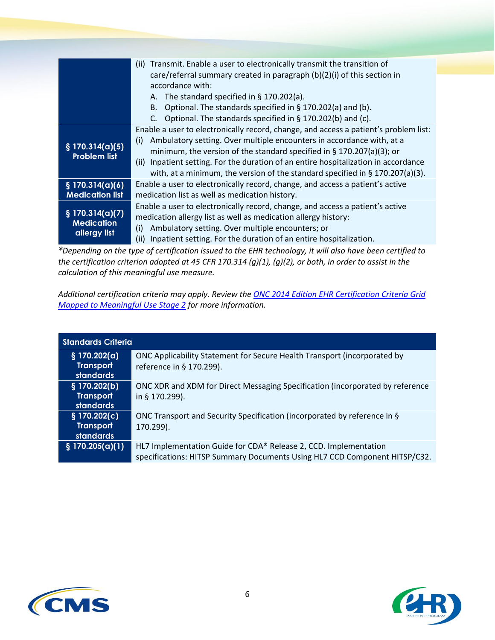|                                                                  | Transmit. Enable a user to electronically transmit the transition of<br>(ii)<br>care/referral summary created in paragraph (b)(2)(i) of this section in<br>accordance with:<br>A. The standard specified in $\S$ 170.202(a).<br>B. Optional. The standards specified in $\S$ 170.202(a) and (b).<br>C. Optional. The standards specified in $\S$ 170.202(b) and (c).                                                         |
|------------------------------------------------------------------|------------------------------------------------------------------------------------------------------------------------------------------------------------------------------------------------------------------------------------------------------------------------------------------------------------------------------------------------------------------------------------------------------------------------------|
| § 170.314(a)(5)<br><b>Problem list</b>                           | Enable a user to electronically record, change, and access a patient's problem list:<br>Ambulatory setting. Over multiple encounters in accordance with, at a<br>(i)<br>minimum, the version of the standard specified in $\S$ 170.207(a)(3); or<br>(ii) Inpatient setting. For the duration of an entire hospitalization in accordance<br>with, at a minimum, the version of the standard specified in $\S 170.207(a)(3)$ . |
| § 170.314(a)(6)<br><b>Medication list</b>                        | Enable a user to electronically record, change, and access a patient's active<br>medication list as well as medication history.                                                                                                                                                                                                                                                                                              |
| $\frac{1}{2}$ 170.314(a)(7)<br><b>Medication</b><br>allergy list | Enable a user to electronically record, change, and access a patient's active<br>medication allergy list as well as medication allergy history:<br>Ambulatory setting. Over multiple encounters; or<br>(i)<br>Inpatient setting. For the duration of an entire hospitalization.<br>(ii)                                                                                                                                      |

*\*Depending on the type of certification issued to the EHR technology, it will also have been certified to the certification criterion adopted at 45 CFR 170.314 (g)(1), (g)(2), or both, in order to assist in the calculation of this meaningful use measure.* 

*Additional certification criteria may apply. Review th[e ONC 2014 Edition EHR Certification Criteria Grid](http://www.healthit.gov/sites/default/files/2014editionehrcertificationcriteria_mustage2.pdf)  [Mapped to Meaningful Use Stage 2](http://www.healthit.gov/sites/default/files/2014editionehrcertificationcriteria_mustage2.pdf) for more information.* 

| <b>Standards Criteria</b>                              |                                                                                                                                                |
|--------------------------------------------------------|------------------------------------------------------------------------------------------------------------------------------------------------|
| § 170.202(a)<br><b>Transport</b><br><b>standards</b>   | ONC Applicability Statement for Secure Health Transport (incorporated by<br>reference in § 170.299).                                           |
| $§$ 170.202(b)<br><b>Transport</b><br><b>standards</b> | ONC XDR and XDM for Direct Messaging Specification (incorporated by reference<br>in § 170.299).                                                |
| § 170.202(c)<br><b>Transport</b><br><b>standards</b>   | ONC Transport and Security Specification (incorporated by reference in §<br>170.299).                                                          |
| $\S$ 170.205(a)(1)                                     | HL7 Implementation Guide for CDA® Release 2, CCD. Implementation<br>specifications: HITSP Summary Documents Using HL7 CCD Component HITSP/C32. |